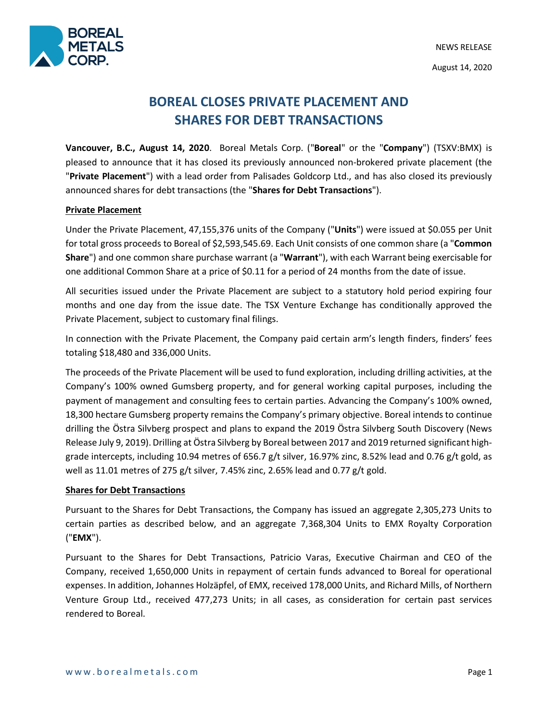

# **BOREAL CLOSES PRIVATE PLACEMENT AND SHARES FOR DEBT TRANSACTIONS**

**Vancouver, B.C., August 14, 2020**. Boreal Metals Corp. ("**Boreal**" or the "**Company**") (TSXV:BMX) is pleased to announce that it has closed its previously announced non-brokered private placement (the "**Private Placement**") with a lead order from Palisades Goldcorp Ltd., and has also closed its previously announced shares for debt transactions (the "**Shares for Debt Transactions**").

### **Private Placement**

Under the Private Placement, 47,155,376 units of the Company ("**Units**") were issued at \$0.055 per Unit for total gross proceeds to Boreal of \$2,593,545.69. Each Unit consists of one common share (a "**Common Share**") and one common share purchase warrant (a "**Warrant**"), with each Warrant being exercisable for one additional Common Share at a price of \$0.11 for a period of 24 months from the date of issue.

All securities issued under the Private Placement are subject to a statutory hold period expiring four months and one day from the issue date. The TSX Venture Exchange has conditionally approved the Private Placement, subject to customary final filings.

In connection with the Private Placement, the Company paid certain arm's length finders, finders' fees totaling \$18,480 and 336,000 Units.

The proceeds of the Private Placement will be used to fund exploration, including drilling activities, at the Company's 100% owned Gumsberg property, and for general working capital purposes, including the payment of management and consulting fees to certain parties. Advancing the Company's 100% owned, 18,300 hectare Gumsberg property remains the Company's primary objective. Boreal intends to continue drilling the Östra Silvberg prospect and plans to expand the 2019 Östra Silvberg South Discovery (News Release July 9, 2019). Drilling at Östra Silvberg by Boreal between 2017 and 2019 returned significant highgrade intercepts, including 10.94 metres of 656.7 g/t silver, 16.97% zinc, 8.52% lead and 0.76 g/t gold, as well as 11.01 metres of 275 g/t silver, 7.45% zinc, 2.65% lead and 0.77 g/t gold.

# **Shares for Debt Transactions**

Pursuant to the Shares for Debt Transactions, the Company has issued an aggregate 2,305,273 Units to certain parties as described below, and an aggregate 7,368,304 Units to EMX Royalty Corporation ("**EMX**").

Pursuant to the Shares for Debt Transactions, Patricio Varas, Executive Chairman and CEO of the Company, received 1,650,000 Units in repayment of certain funds advanced to Boreal for operational expenses. In addition, Johannes Holzäpfel, of EMX, received 178,000 Units, and Richard Mills, of Northern Venture Group Ltd., received 477,273 Units; in all cases, as consideration for certain past services rendered to Boreal.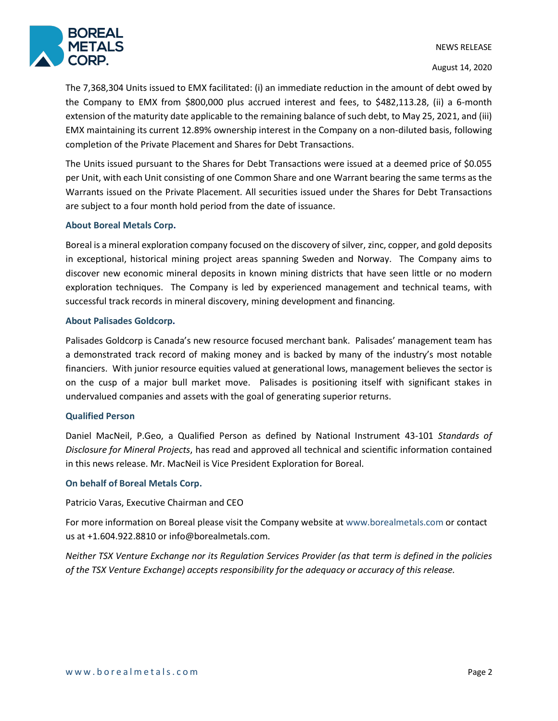

August 14, 2020

The 7,368,304 Units issued to EMX facilitated: (i) an immediate reduction in the amount of debt owed by the Company to EMX from \$800,000 plus accrued interest and fees, to \$482,113.28, (ii) a 6-month extension of the maturity date applicable to the remaining balance of such debt, to May 25, 2021, and (iii) EMX maintaining its current 12.89% ownership interest in the Company on a non-diluted basis, following completion of the Private Placement and Shares for Debt Transactions.

The Units issued pursuant to the Shares for Debt Transactions were issued at a deemed price of \$0.055 per Unit, with each Unit consisting of one Common Share and one Warrant bearing the same terms as the Warrants issued on the Private Placement. All securities issued under the Shares for Debt Transactions are subject to a four month hold period from the date of issuance.

# **About Boreal Metals Corp.**

Boreal is a mineral exploration company focused on the discovery of silver, zinc, copper, and gold deposits in exceptional, historical mining project areas spanning Sweden and Norway. The Company aims to discover new economic mineral deposits in known mining districts that have seen little or no modern exploration techniques. The Company is led by experienced management and technical teams, with successful track records in mineral discovery, mining development and financing.

### **About Palisades Goldcorp.**

Palisades Goldcorp is Canada's new resource focused merchant bank. Palisades' management team has a demonstrated track record of making money and is backed by many of the industry's most notable financiers. With junior resource equities valued at generational lows, management believes the sector is on the cusp of a major bull market move. Palisades is positioning itself with significant stakes in undervalued companies and assets with the goal of generating superior returns.

#### **Qualified Person**

Daniel MacNeil, P.Geo, a Qualified Person as defined by National Instrument 43-101 *Standards of Disclosure for Mineral Projects*, has read and approved all technical and scientific information contained in this news release. Mr. MacNeil is Vice President Exploration for Boreal.

#### **On behalf of Boreal Metals Corp.**

Patricio Varas, Executive Chairman and CEO

For more information on Boreal please visit the Company website at www.borealmetals.com or contact us at +1.604.922.8810 or info@borealmetals.com.

Neither TSX Venture Exchange nor its Regulation Services Provider (as that term is defined in the policies *of the TSX Venture Exchange) accepts responsibility for the adequacy or accuracy of this release.*